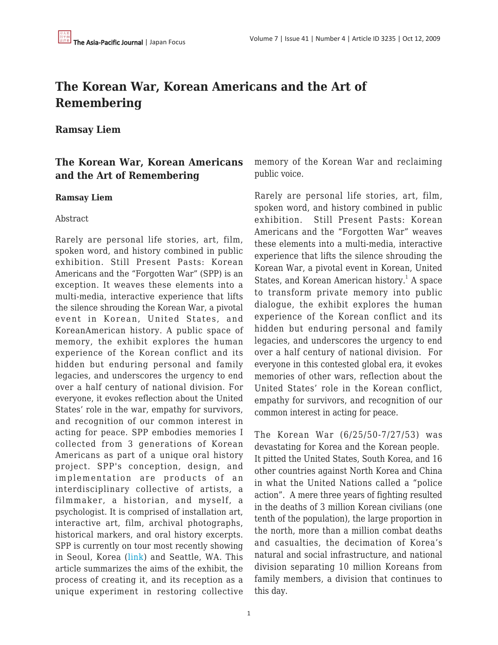# **The Korean War, Korean Americans and the Art of Remembering**

# **Ramsay Liem**

# **The Korean War, Korean Americans and the Art of Remembering**

#### **Ramsay Liem**

#### Abstract

Rarely are personal life stories, art, film, spoken word, and history combined in public exhibition. Still Present Pasts: Korean Americans and the "Forgotten War" (SPP) is an exception. It weaves these elements into a multi-media, interactive experience that lifts the silence shrouding the Korean War, a pivotal event in Korean, United States, and KoreanAmerican history. A public space of memory, the exhibit explores the human experience of the Korean conflict and its hidden but enduring personal and family legacies, and underscores the urgency to end over a half century of national division. For everyone, it evokes reflection about the United States' role in the war, empathy for survivors, and recognition of our common interest in acting for peace. SPP embodies memories I collected from 3 generations of Korean Americans as part of a unique oral history project. SPP's conception, design, and implementation are products of an interdisciplinary collective of artists, a filmmaker, a historian, and myself, a psychologist. It is comprised of installation art, interactive art, film, archival photographs, historical markers, and oral history excerpts. SPP is currently on tour most recently showing in Seoul, Korea ([link\)](http://www.stillpresentpasts.org) and Seattle, WA. This article summarizes the aims of the exhibit, the process of creating it, and its reception as a unique experiment in restoring collective memory of the Korean War and reclaiming public voice.

Rarely are personal life stories, art, film, spoken word, and history combined in public exhibition. Still Present Pasts: Korean Americans and the "Forgotten War" weaves these elements into a multi-media, interactive experience that lifts the silence shrouding the Korean War, a pivotal event in Korean, United States, and Korean American history.<sup>1</sup> A space to transform private memory into public dialogue, the exhibit explores the human experience of the Korean conflict and its hidden but enduring personal and family legacies, and underscores the urgency to end over a half century of national division. For everyone in this contested global era, it evokes memories of other wars, reflection about the United States' role in the Korean conflict, empathy for survivors, and recognition of our common interest in acting for peace.

The Korean War (6/25/50-7/27/53) was devastating for Korea and the Korean people. It pitted the United States, South Korea, and 16 other countries against North Korea and China in what the United Nations called a "police action". A mere three years of fighting resulted in the deaths of 3 million Korean civilians (one tenth of the population), the large proportion in the north, more than a million combat deaths and casualties, the decimation of Korea's natural and social infrastructure, and national division separating 10 million Koreans from family members, a division that continues to this day.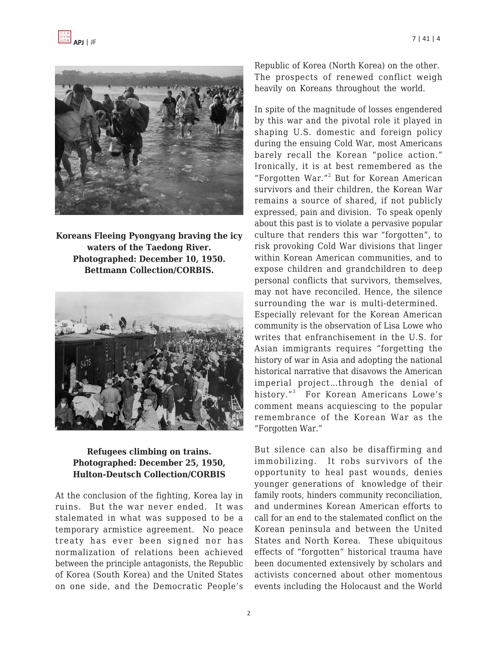



**Koreans Fleeing Pyongyang braving the icy waters of the Taedong River. Photographed: December 10, 1950. Bettmann Collection/CORBIS.**



#### **Refugees climbing on trains. Photographed: December 25, 1950, Hulton-Deutsch Collection/CORBIS**

At the conclusion of the fighting, Korea lay in ruins. But the war never ended. It was stalemated in what was supposed to be a temporary armistice agreement. No peace treaty has ever been signed nor has normalization of relations been achieved between the principle antagonists, the Republic of Korea (South Korea) and the United States on one side, and the Democratic People's Republic of Korea (North Korea) on the other. The prospects of renewed conflict weigh heavily on Koreans throughout the world.

In spite of the magnitude of losses engendered by this war and the pivotal role it played in shaping U.S. domestic and foreign policy during the ensuing Cold War, most Americans barely recall the Korean "police action." Ironically, it is at best remembered as the "Forgotten War."<sup>2</sup> But for Korean American survivors and their children, the Korean War remains a source of shared, if not publicly expressed, pain and division. To speak openly about this past is to violate a pervasive popular culture that renders this war "forgotten", to risk provoking Cold War divisions that linger within Korean American communities, and to expose children and grandchildren to deep personal conflicts that survivors, themselves, may not have reconciled. Hence, the silence surrounding the war is multi-determined. Especially relevant for the Korean American community is the observation of Lisa Lowe who writes that enfranchisement in the U.S. for Asian immigrants requires "forgetting the history of war in Asia and adopting the national historical narrative that disavows the American imperial project…through the denial of history."<sup>3</sup> For Korean Americans Lowe's comment means acquiescing to the popular remembrance of the Korean War as the "Forgotten War."

But silence can also be disaffirming and immobilizing. It robs survivors of the opportunity to heal past wounds, denies younger generations of knowledge of their family roots, hinders community reconciliation, and undermines Korean American efforts to call for an end to the stalemated conflict on the Korean peninsula and between the United States and North Korea. These ubiquitous effects of "forgotten" historical trauma have been documented extensively by scholars and activists concerned about other momentous events including the Holocaust and the World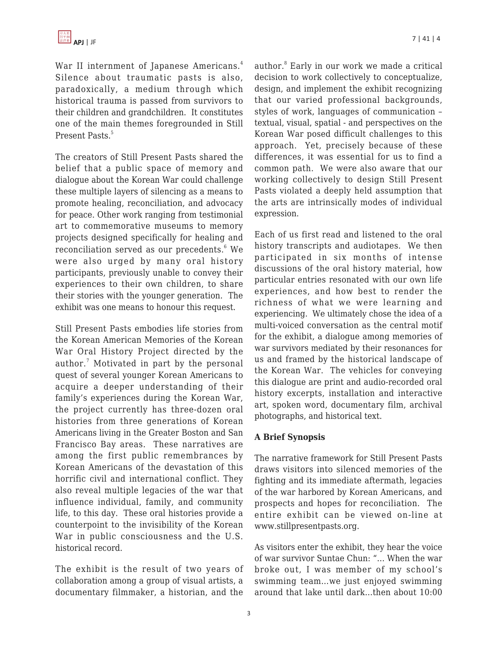War II internment of Japanese Americans.<sup>4</sup> Silence about traumatic pasts is also, paradoxically, a medium through which historical trauma is passed from survivors to their children and grandchildren. It constitutes one of the main themes foregrounded in Still Present Pasts. 5

The creators of Still Present Pasts shared the belief that a public space of memory and dialogue about the Korean War could challenge these multiple layers of silencing as a means to promote healing, reconciliation, and advocacy for peace. Other work ranging from testimonial art to commemorative museums to memory projects designed specifically for healing and reconciliation served as our precedents. $^6$  We were also urged by many oral history participants, previously unable to convey their experiences to their own children, to share their stories with the younger generation. The exhibit was one means to honour this request.

Still Present Pasts embodies life stories from the Korean American Memories of the Korean War Oral History Project directed by the author.<sup>7</sup> Motivated in part by the personal quest of several younger Korean Americans to acquire a deeper understanding of their family's experiences during the Korean War, the project currently has three-dozen oral histories from three generations of Korean Americans living in the Greater Boston and San Francisco Bay areas. These narratives are among the first public remembrances by Korean Americans of the devastation of this horrific civil and international conflict. They also reveal multiple legacies of the war that influence individual, family, and community life, to this day. These oral histories provide a counterpoint to the invisibility of the Korean War in public consciousness and the U.S. historical record.

The exhibit is the result of two years of collaboration among a group of visual artists, a documentary filmmaker, a historian, and the

author.<sup>8</sup> Early in our work we made a critical decision to work collectively to conceptualize, design, and implement the exhibit recognizing that our varied professional backgrounds, styles of work, languages of communication – textual, visual, spatial - and perspectives on the Korean War posed difficult challenges to this approach. Yet, precisely because of these differences, it was essential for us to find a common path. We were also aware that our working collectively to design Still Present Pasts violated a deeply held assumption that the arts are intrinsically modes of individual expression.

Each of us first read and listened to the oral history transcripts and audiotapes. We then participated in six months of intense discussions of the oral history material, how particular entries resonated with our own life experiences, and how best to render the richness of what we were learning and experiencing. We ultimately chose the idea of a multi-voiced conversation as the central motif for the exhibit, a dialogue among memories of war survivors mediated by their resonances for us and framed by the historical landscape of the Korean War. The vehicles for conveying this dialogue are print and audio-recorded oral history excerpts, installation and interactive art, spoken word, documentary film, archival photographs, and historical text.

#### **A Brief Synopsis**

The narrative framework for Still Present Pasts draws visitors into silenced memories of the fighting and its immediate aftermath, legacies of the war harbored by Korean Americans, and prospects and hopes for reconciliation. The entire exhibit can be viewed on-line at www.stillpresentpasts.org.

As visitors enter the exhibit, they hear the voice of war survivor Suntae Chun: "… When the war broke out, I was member of my school's swimming team…we just enjoyed swimming around that lake until dark…then about 10:00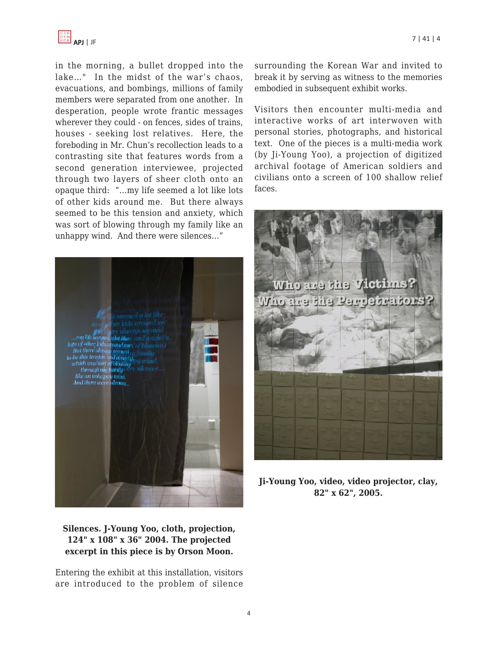

in the morning, a bullet dropped into the lake…" In the midst of the war's chaos, evacuations, and bombings, millions of family members were separated from one another. In desperation, people wrote frantic messages wherever they could - on fences, sides of trains, houses - seeking lost relatives. Here, the foreboding in Mr. Chun's recollection leads to a contrasting site that features words from a second generation interviewee, projected through two layers of sheer cloth onto an opaque third: "…my life seemed a lot like lots of other kids around me. But there always seemed to be this tension and anxiety, which was sort of blowing through my family like an unhappy wind. And there were silences…"



**Silences. J-Young Yoo, cloth, projection, 124" x 108" x 36" 2004. The projected excerpt in this piece is by Orson Moon.**

Entering the exhibit at this installation, visitors are introduced to the problem of silence surrounding the Korean War and invited to break it by serving as witness to the memories embodied in subsequent exhibit works.

Visitors then encounter multi-media and interactive works of art interwoven with personal stories, photographs, and historical text. One of the pieces is a multi-media work (by Ji-Young Yoo), a projection of digitized archival footage of American soldiers and civilians onto a screen of 100 shallow relief faces.



**Ji-Young Yoo, video, video projector, clay, 82" x 62", 2005.**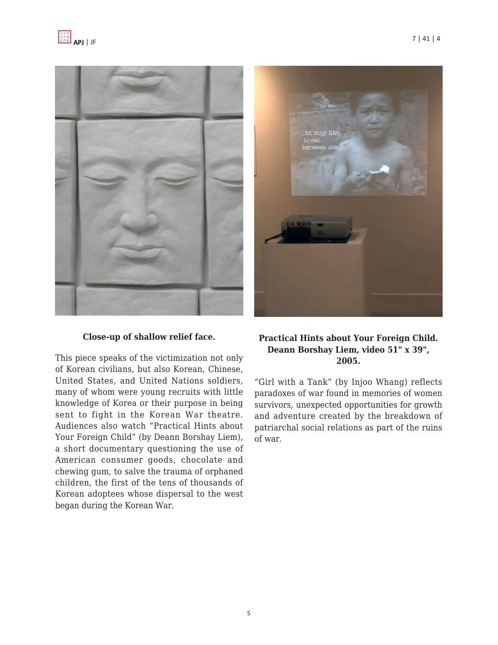



#### **Close-up of shallow relief face.**

This piece speaks of the victimization not only of Korean civilians, but also Korean, Chinese, United States, and United Nations soldiers, many of whom were young recruits with little knowledge of Korea or their purpose in being sent to fight in the Korean War theatre. Audiences also watch "Practical Hints about Your Foreign Child" (by Deann Borshay Liem), a short documentary questioning the use of American consumer goods, chocolate and chewing gum, to salve the trauma of orphaned children, the first of the tens of thousands of Korean adoptees whose dispersal to the west began during the Korean War.



#### **Practical Hints about Your Foreign Child. Deann Borshay Liem, video 51" x 39", 2005.**

"Girl with a Tank" (by Injoo Whang) reflects paradoxes of war found in memories of women survivors, unexpected opportunities for growth and adventure created by the breakdown of patriarchal social relations as part of the ruins of war.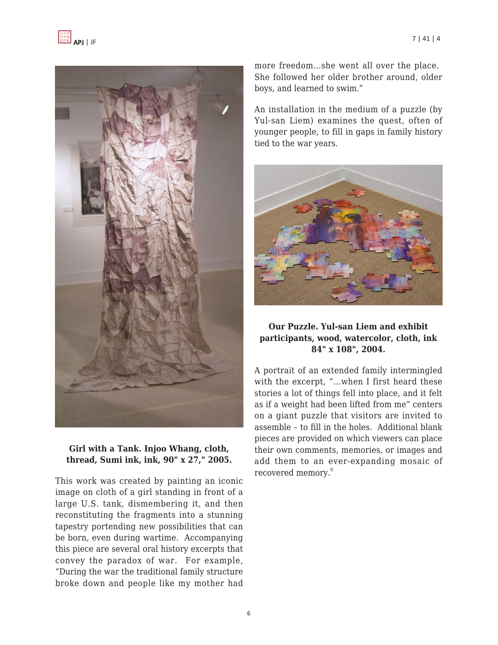



#### **Girl with a Tank. Injoo Whang, cloth, thread, Sumi ink, ink, 90" x 27," 2005.**

This work was created by painting an iconic image on cloth of a girl standing in front of a large U.S. tank, dismembering it, and then reconstituting the fragments into a stunning tapestry portending new possibilities that can be born, even during wartime. Accompanying this piece are several oral history excerpts that convey the paradox of war. For example, "During the war the traditional family structure broke down and people like my mother had more freedom…she went all over the place. She followed her older brother around, older boys, and learned to swim."

An installation in the medium of a puzzle (by Yul-san Liem) examines the quest, often of younger people, to fill in gaps in family history tied to the war years.



# **Our Puzzle. Yul-san Liem and exhibit participants, wood, watercolor, cloth, ink 84" x 108", 2004.**

A portrait of an extended family intermingled with the excerpt, "…when I first heard these stories a lot of things fell into place, and it felt as if a weight had been lifted from me" centers on a giant puzzle that visitors are invited to assemble – to fill in the holes. Additional blank pieces are provided on which viewers can place their own comments, memories, or images and add them to an ever-expanding mosaic of recovered memory.<sup>9</sup>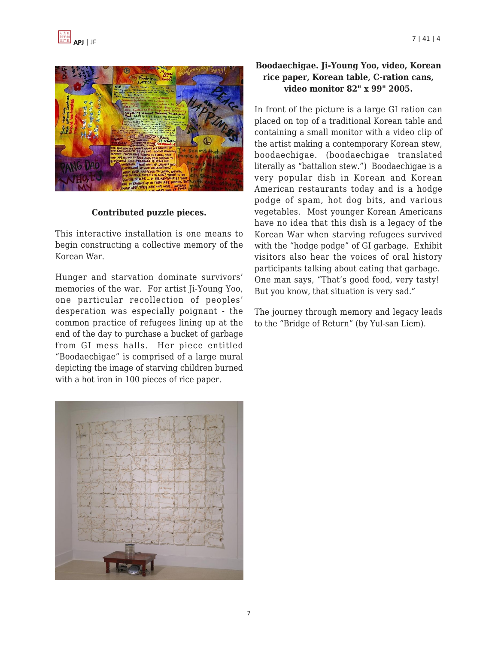

# **Contributed puzzle pieces.**

This interactive installation is one means to begin constructing a collective memory of the Korean War.

Hunger and starvation dominate survivors' memories of the war. For artist Ji-Young Yoo, one particular recollection of peoples' desperation was especially poignant - the common practice of refugees lining up at the end of the day to purchase a bucket of garbage from GI mess halls. Her piece entitled "Boodaechigae" is comprised of a large mural depicting the image of starving children burned with a hot iron in 100 pieces of rice paper.



# **Boodaechigae. Ji-Young Yoo, video, Korean rice paper, Korean table, C-ration cans, video monitor 82" x 99" 2005.**

In front of the picture is a large GI ration can placed on top of a traditional Korean table and containing a small monitor with a video clip of the artist making a contemporary Korean stew, boodaechigae. (boodaechigae translated literally as "battalion stew.") Boodaechigae is a very popular dish in Korean and Korean American restaurants today and is a hodge podge of spam, hot dog bits, and various vegetables. Most younger Korean Americans have no idea that this dish is a legacy of the Korean War when starving refugees survived with the "hodge podge" of GI garbage. Exhibit visitors also hear the voices of oral history participants talking about eating that garbage. One man says, "That's good food, very tasty! But you know, that situation is very sad."

The journey through memory and legacy leads to the "Bridge of Return" (by Yul-san Liem).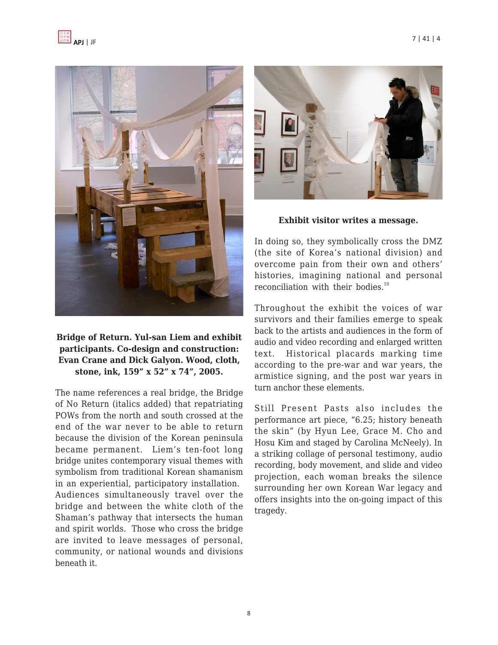



**Bridge of Return. Yul-san Liem and exhibit participants. Co-design and construction: Evan Crane and Dick Galyon. Wood, cloth, stone, ink, 159" x 52" x 74", 2005.**

The name references a real bridge, the Bridge of No Return (italics added) that repatriating POWs from the north and south crossed at the end of the war never to be able to return because the division of the Korean peninsula became permanent. Liem's ten-foot long bridge unites contemporary visual themes with symbolism from traditional Korean shamanism in an experiential, participatory installation. Audiences simultaneously travel over the bridge and between the white cloth of the Shaman's pathway that intersects the human and spirit worlds. Those who cross the bridge are invited to leave messages of personal, community, or national wounds and divisions beneath it.



**Exhibit visitor writes a message.**

In doing so, they symbolically cross the DMZ (the site of Korea's national division) and overcome pain from their own and others' histories, imagining national and personal reconciliation with their bodies.<sup>10</sup>

Throughout the exhibit the voices of war survivors and their families emerge to speak back to the artists and audiences in the form of audio and video recording and enlarged written text. Historical placards marking time according to the pre-war and war years, the armistice signing, and the post war years in turn anchor these elements.

Still Present Pasts also includes the performance art piece, "6.25; history beneath the skin" (by Hyun Lee, Grace M. Cho and Hosu Kim and staged by Carolina McNeely). In a striking collage of personal testimony, audio recording, body movement, and slide and video projection, each woman breaks the silence surrounding her own Korean War legacy and offers insights into the on-going impact of this tragedy.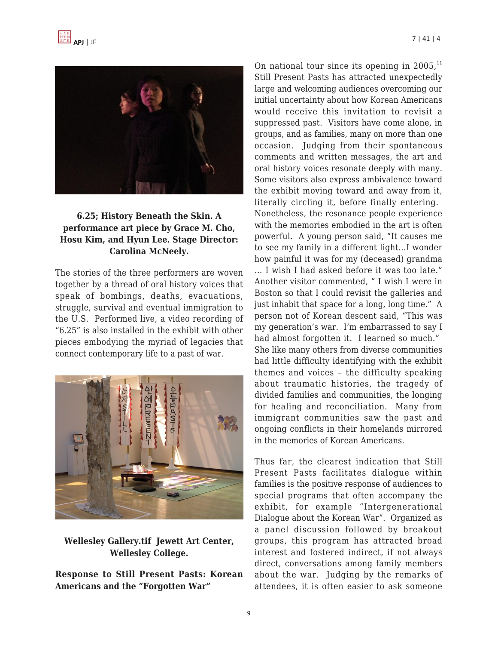



# **6.25; History Beneath the Skin. A performance art piece by Grace M. Cho, Hosu Kim, and Hyun Lee. Stage Director: Carolina McNeely.**

The stories of the three performers are woven together by a thread of oral history voices that speak of bombings, deaths, evacuations, struggle, survival and eventual immigration to the U.S. Performed live, a video recording of "6.25" is also installed in the exhibit with other pieces embodying the myriad of legacies that connect contemporary life to a past of war.



**Wellesley Gallery.tif Jewett Art Center, Wellesley College.**

**Response to Still Present Pasts: Korean Americans and the "Forgotten War"**

On national tour since its opening in  $2005<sup>11</sup>$ Still Present Pasts has attracted unexpectedly large and welcoming audiences overcoming our initial uncertainty about how Korean Americans would receive this invitation to revisit a suppressed past. Visitors have come alone, in groups, and as families, many on more than one occasion. Judging from their spontaneous comments and written messages, the art and oral history voices resonate deeply with many. Some visitors also express ambivalence toward the exhibit moving toward and away from it, literally circling it, before finally entering. Nonetheless, the resonance people experience with the memories embodied in the art is often powerful. A young person said, "It causes me to see my family in a different light…I wonder how painful it was for my (deceased) grandma … I wish I had asked before it was too late." Another visitor commented, " I wish I were in Boston so that I could revisit the galleries and just inhabit that space for a long, long time." A person not of Korean descent said, "This was my generation's war. I'm embarrassed to say I had almost forgotten it. I learned so much." She like many others from diverse communities had little difficulty identifying with the exhibit themes and voices – the difficulty speaking about traumatic histories, the tragedy of divided families and communities, the longing for healing and reconciliation. Many from immigrant communities saw the past and ongoing conflicts in their homelands mirrored in the memories of Korean Americans.

Thus far, the clearest indication that Still Present Pasts facilitates dialogue within families is the positive response of audiences to special programs that often accompany the exhibit, for example "Intergenerational Dialogue about the Korean War". Organized as a panel discussion followed by breakout groups, this program has attracted broad interest and fostered indirect, if not always direct, conversations among family members about the war. Judging by the remarks of attendees, it is often easier to ask someone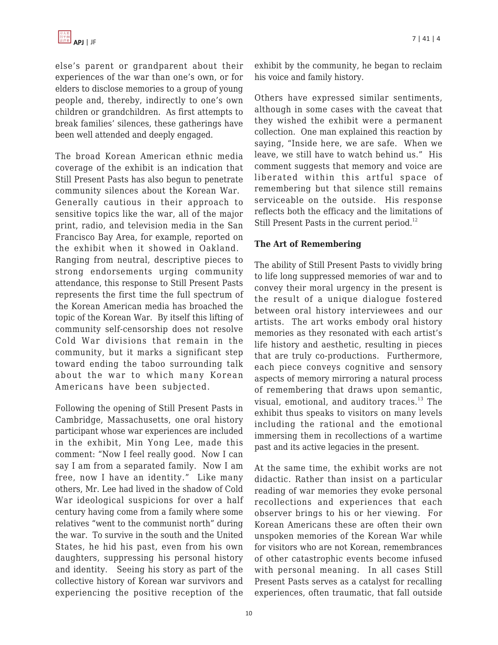else's parent or grandparent about their experiences of the war than one's own, or for elders to disclose memories to a group of young people and, thereby, indirectly to one's own children or grandchildren. As first attempts to break families' silences, these gatherings have been well attended and deeply engaged.

The broad Korean American ethnic media coverage of the exhibit is an indication that Still Present Pasts has also begun to penetrate community silences about the Korean War. Generally cautious in their approach to sensitive topics like the war, all of the major print, radio, and television media in the San Francisco Bay Area, for example, reported on the exhibit when it showed in Oakland. Ranging from neutral, descriptive pieces to strong endorsements urging community attendance, this response to Still Present Pasts represents the first time the full spectrum of the Korean American media has broached the topic of the Korean War. By itself this lifting of community self-censorship does not resolve Cold War divisions that remain in the community, but it marks a significant step toward ending the taboo surrounding talk about the war to which many Korean Americans have been subjected.

Following the opening of Still Present Pasts in Cambridge, Massachusetts, one oral history participant whose war experiences are included in the exhibit, Min Yong Lee, made this comment: "Now I feel really good. Now I can say I am from a separated family. Now I am free, now I have an identity." Like many others, Mr. Lee had lived in the shadow of Cold War ideological suspicions for over a half century having come from a family where some relatives "went to the communist north" during the war. To survive in the south and the United States, he hid his past, even from his own daughters, suppressing his personal history and identity. Seeing his story as part of the collective history of Korean war survivors and experiencing the positive reception of the exhibit by the community, he began to reclaim his voice and family history.

Others have expressed similar sentiments, although in some cases with the caveat that they wished the exhibit were a permanent collection. One man explained this reaction by saying, "Inside here, we are safe. When we leave, we still have to watch behind us." His comment suggests that memory and voice are liberated within this artful space of remembering but that silence still remains serviceable on the outside. His response reflects both the efficacy and the limitations of Still Present Pasts in the current period.<sup>12</sup>

# **The Art of Remembering**

The ability of Still Present Pasts to vividly bring to life long suppressed memories of war and to convey their moral urgency in the present is the result of a unique dialogue fostered between oral history interviewees and our artists. The art works embody oral history memories as they resonated with each artist's life history and aesthetic, resulting in pieces that are truly co-productions. Furthermore, each piece conveys cognitive and sensory aspects of memory mirroring a natural process of remembering that draws upon semantic, visual, emotional, and auditory traces. $^{13}$  The exhibit thus speaks to visitors on many levels including the rational and the emotional immersing them in recollections of a wartime past and its active legacies in the present.

At the same time, the exhibit works are not didactic. Rather than insist on a particular reading of war memories they evoke personal recollections and experiences that each observer brings to his or her viewing. For Korean Americans these are often their own unspoken memories of the Korean War while for visitors who are not Korean, remembrances of other catastrophic events become infused with personal meaning. In all cases Still Present Pasts serves as a catalyst for recalling experiences, often traumatic, that fall outside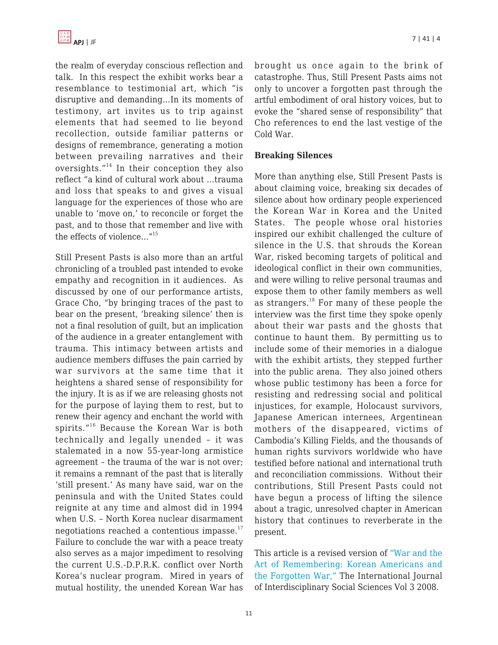the realm of everyday conscious reflection and talk. In this respect the exhibit works bear a resemblance to testimonial art, which "is disruptive and demanding…In its moments of testimony, art invites us to trip against elements that had seemed to lie beyond recollection, outside familiar patterns or designs of remembrance, generating a motion between prevailing narratives and their oversights. $14$ <sup>14</sup> In their conception they also reflect "a kind of cultural work about …trauma and loss that speaks to and gives a visual language for the experiences of those who are unable to 'move on,' to reconcile or forget the past, and to those that remember and live with the effects of violence…"<sup>15</sup>

Still Present Pasts is also more than an artful chronicling of a troubled past intended to evoke empathy and recognition in it audiences. As discussed by one of our performance artists, Grace Cho, "by bringing traces of the past to bear on the present, 'breaking silence' then is not a final resolution of guilt, but an implication of the audience in a greater entanglement with trauma. This intimacy between artists and audience members diffuses the pain carried by war survivors at the same time that it heightens a shared sense of responsibility for the injury. It is as if we are releasing ghosts not for the purpose of laying them to rest, but to renew their agency and enchant the world with spirits."<sup>16</sup> Because the Korean War is both technically and legally unended – it was stalemated in a now 55-year-long armistice agreement – the trauma of the war is not over; it remains a remnant of the past that is literally 'still present.' As many have said, war on the peninsula and with the United States could reignite at any time and almost did in 1994 when U.S. – North Korea nuclear disarmament negotiations reached a contentious impasse. $17$ Failure to conclude the war with a peace treaty also serves as a major impediment to resolving the current U.S.-D.P.R.K. conflict over North Korea's nuclear program. Mired in years of mutual hostility, the unended Korean War has brought us once again to the brink of catastrophe. Thus, Still Present Pasts aims not only to uncover a forgotten past through the artful embodiment of oral history voices, but to evoke the "shared sense of responsibility" that Cho references to end the last vestige of the Cold War.

#### **Breaking Silences**

More than anything else, Still Present Pasts is about claiming voice, breaking six decades of silence about how ordinary people experienced the Korean War in Korea and the United States. The people whose oral histories inspired our exhibit challenged the culture of silence in the U.S. that shrouds the Korean War, risked becoming targets of political and ideological conflict in their own communities, and were willing to relive personal traumas and expose them to other family members as well as strangers. $^{18}$  For many of these people the interview was the first time they spoke openly about their war pasts and the ghosts that continue to haunt them. By permitting us to include some of their memories in a dialogue with the exhibit artists, they stepped further into the public arena. They also joined others whose public testimony has been a force for resisting and redressing social and political injustices, for example, Holocaust survivors, Japanese American internees, Argentinean mothers of the disappeared, victims of Cambodia's Killing Fields, and the thousands of human rights survivors worldwide who have testified before national and international truth and reconciliation commissions. Without their contributions, Still Present Pasts could not have begun a process of lifting the silence about a tragic, unresolved chapter in American history that continues to reverberate in the present.

This article is a revised version of ["War and the](http://www.socialsciences-journal.com) [Art of Remembering: Korean Americans and](http://www.socialsciences-journal.com) [the Forgotten War,"](http://www.socialsciences-journal.com) The International Journal of Interdisciplinary Social Sciences Vol 3 2008.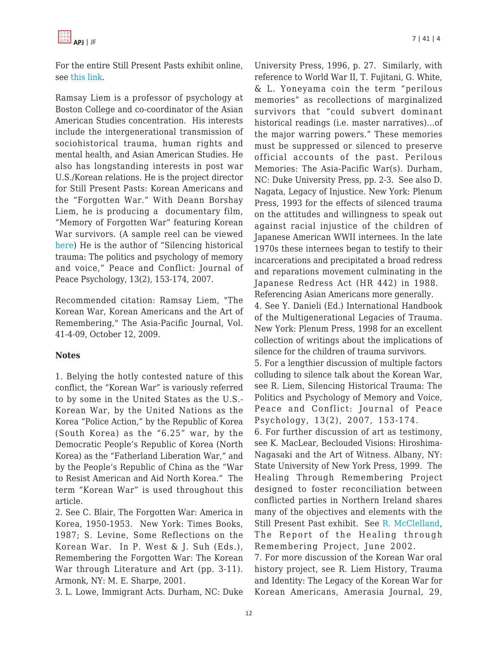For the entire Still Present Pasts exhibit online, see [this link.](http://www.stillpresentpasts.org)

Ramsay Liem is a professor of psychology at Boston College and co-coordinator of the Asian American Studies concentration. His interests include the intergenerational transmission of sociohistorical trauma, human rights and mental health, and Asian American Studies. He also has longstanding interests in post war U.S./Korean relations. He is the project director for Still Present Pasts: Korean Americans and the "Forgotten War." With Deann Borshay Liem, he is producing a documentary film, "Memory of Forgotten War" featuring Korean War survivors. (A sample reel can be viewed [here\)](http://www.stillpresentpasts.org/film) He is the author of "Silencing historical trauma: The politics and psychology of memory and voice," Peace and Conflict: Journal of Peace Psychology, 13(2), 153-174, 2007.

Recommended citation: Ramsay Liem, "The Korean War, Korean Americans and the Art of Remembering," The Asia-Pacific Journal, Vol. 41-4-09, October 12, 2009.

#### **Notes**

1. Belying the hotly contested nature of this conflict, the "Korean War" is variously referred to by some in the United States as the U.S.- Korean War, by the United Nations as the Korea "Police Action," by the Republic of Korea (South Korea) as the "6.25" war, by the Democratic People's Republic of Korea (North Korea) as the "Fatherland Liberation War," and by the People's Republic of China as the "War to Resist American and Aid North Korea." The term "Korean War" is used throughout this article.

2. See C. Blair, The Forgotten War: America in Korea, 1950-1953. New York: Times Books, 1987; S. Levine, Some Reflections on the Korean War. In P. West & J. Suh (Eds.), Remembering the Forgotten War: The Korean War through Literature and Art (pp. 3-11). Armonk, NY: M. E. Sharpe, 2001.

3. L. Lowe, Immigrant Acts. Durham, NC: Duke

University Press, 1996, p. 27. Similarly, with reference to World War II, T. Fujitani, G. White, & L. Yoneyama coin the term "perilous memories" as recollections of marginalized survivors that "could subvert dominant historical readings (i.e. master narratives)…of the major warring powers." These memories must be suppressed or silenced to preserve official accounts of the past. Perilous Memories: The Asia-Pacific War(s). Durham, NC: Duke University Press, pp. 2-3. See also D. Nagata, Legacy of Injustice. New York: Plenum Press, 1993 for the effects of silenced trauma on the attitudes and willingness to speak out against racial injustice of the children of Japanese American WWII internees. In the late 1970s these internees began to testify to their incarcerations and precipitated a broad redress and reparations movement culminating in the Japanese Redress Act (HR 442) in 1988. Referencing Asian Americans more generally. 4. See Y. Danieli (Ed.) International Handbook of the Multigenerational Legacies of Trauma. New York: Plenum Press, 1998 for an excellent collection of writings about the implications of silence for the children of trauma survivors. 5. For a lengthier discussion of multiple factors colluding to silence talk about the Korean War, see R. Liem, Silencing Historical Trauma: The Politics and Psychology of Memory and Voice, Peace and Conflict: Journal of Peace Psychology, 13(2), 2007, 153-174. 6. For further discussion of art as testimony, see K. MacLear, Beclouded Visions: Hiroshima-Nagasaki and the Art of Witness. Albany, NY: State University of New York Press, 1999. The Healing Through Remembering Project designed to foster reconciliation between conflicted parties in Northern Ireland shares many of the objectives and elements with the Still Present Past exhibit. See [R. McClelland,](http://www.healingthroughremembering.org/d_pubs/publications.asp) The Report of the Healing through

Remembering Project, June 2002. 7. For more discussion of the Korean War oral history project, see R. Liem History, Trauma

and Identity: The Legacy of the Korean War for Korean Americans, Amerasia Journal, 29,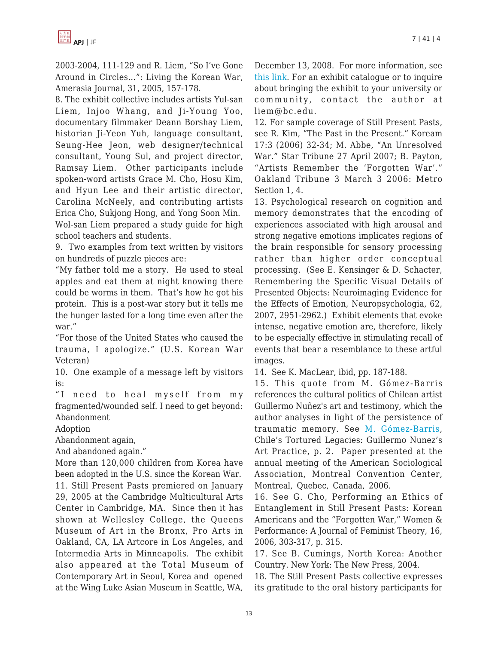2003-2004, 111-129 and R. Liem, "So I've Gone Around in Circles…": Living the Korean War, Amerasia Journal, 31, 2005, 157-178.

8. The exhibit collective includes artists Yul-san Liem, Injoo Whang, and Ji-Young Yoo, documentary filmmaker Deann Borshay Liem, historian Ji-Yeon Yuh, language consultant, Seung-Hee Jeon, web designer/technical consultant, Young Sul, and project director, Ramsay Liem. Other participants include spoken-word artists Grace M. Cho, Hosu Kim, and Hyun Lee and their artistic director, Carolina McNeely, and contributing artists Erica Cho, Sukjong Hong, and Yong Soon Min. Wol-san Liem prepared a study guide for high school teachers and students.

9. Two examples from text written by visitors on hundreds of puzzle pieces are:

"My father told me a story. He used to steal apples and eat them at night knowing there could be worms in them. That's how he got his protein. This is a post-war story but it tells me the hunger lasted for a long time even after the war."

"For those of the United States who caused the trauma, I apologize." (U.S. Korean War Veteran)

10. One example of a message left by visitors is:

"I need to heal myself from my fragmented/wounded self. I need to get beyond: Abandonment

Adoption

Abandonment again,

And abandoned again."

More than 120,000 children from Korea have been adopted in the U.S. since the Korean War. 11. Still Present Pasts premiered on January 29, 2005 at the Cambridge Multicultural Arts Center in Cambridge, MA. Since then it has shown at Wellesley College, the Queens Museum of Art in the Bronx, Pro Arts in Oakland, CA, LA Artcore in Los Angeles, and Intermedia Arts in Minneapolis. The exhibit also appeared at the Total Museum of Contemporary Art in Seoul, Korea and opened at the Wing Luke Asian Museum in Seattle, WA, December 13, 2008. For more information, see [this link.](http://www.stillpresentpasts.org) For an exhibit catalogue or to inquire about bringing the exhibit to your university or community, contact the author at liem@bc.edu.

12. For sample coverage of Still Present Pasts, see R. Kim, "The Past in the Present." Koream 17:3 (2006) 32-34; M. Abbe, "An Unresolved War." Star Tribune 27 April 2007; B. Payton, "Artists Remember the 'Forgotten War'." Oakland Tribune 3 March 3 2006: Metro Section 1, 4.

13. Psychological research on cognition and memory demonstrates that the encoding of experiences associated with high arousal and strong negative emotions implicates regions of the brain responsible for sensory processing rather than higher order conceptual processing. (See E. Kensinger & D. Schacter, Remembering the Specific Visual Details of Presented Objects: Neuroimaging Evidence for the Effects of Emotion, Neuropsychologia, 62, 2007, 2951-2962.) Exhibit elements that evoke intense, negative emotion are, therefore, likely to be especially effective in stimulating recall of events that bear a resemblance to these artful images.

14. See K. MacLear, ibid, pp. 187-188.

15. This quote from M. Gómez-Barris references the cultural politics of Chilean artist Guillermo Nuñez's art and testimony, which the author analyses in light of the persistence of traumatic memory. See [M. Gómez-Barris,](http://www.allacademic.com/meta/p105097_index.html) Chile's Tortured Legacies: Guillermo Nunez's Art Practice, p. 2. Paper presented at the annual meeting of the American Sociological Association, Montreal Convention Center, Montreal, Quebec, Canada, 2006.

16. See G. Cho, Performing an Ethics of Entanglement in Still Present Pasts: Korean Americans and the "Forgotten War," Women & Performance: A Journal of Feminist Theory, 16, 2006, 303-317, p. 315.

17. See B. Cumings, North Korea: Another Country. New York: The New Press, 2004.

18. The Still Present Pasts collective expresses its gratitude to the oral history participants for